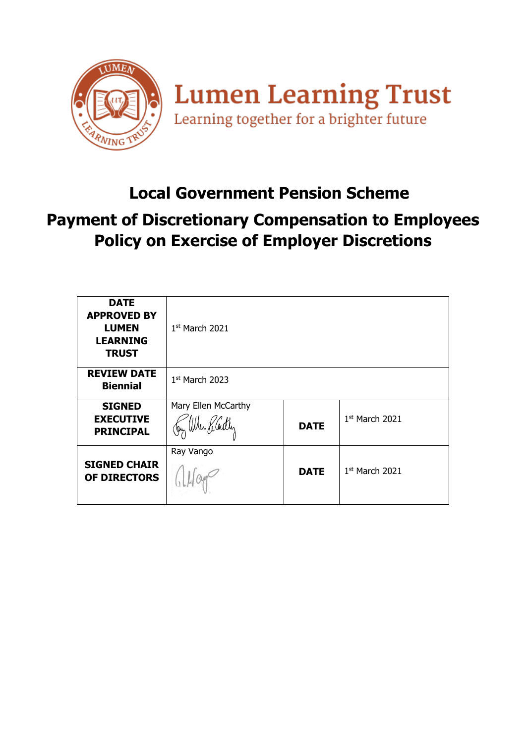

## **Local Government Pension Scheme**

## **Payment of Discretionary Compensation to Employees Policy on Exercise of Employer Discretions**

| <b>DATE</b><br><b>APPROVED BY</b><br><b>LUMEN</b><br><b>LEARNING</b><br><b>TRUST</b> | $1st$ March 2021                          |             |                  |
|--------------------------------------------------------------------------------------|-------------------------------------------|-------------|------------------|
| <b>REVIEW DATE</b><br><b>Biennial</b>                                                | $1st$ March 2023                          |             |                  |
| <b>SIGNED</b><br><b>EXECUTIVE</b><br><b>PRINCIPAL</b>                                | Mary Ellen McCarthy<br>Jan When ReCardler | <b>DATE</b> | $1st$ March 2021 |
| <b>SIGNED CHAIR</b><br><b>OF DIRECTORS</b>                                           | Ray Vango                                 | <b>DATE</b> | $1st$ March 2021 |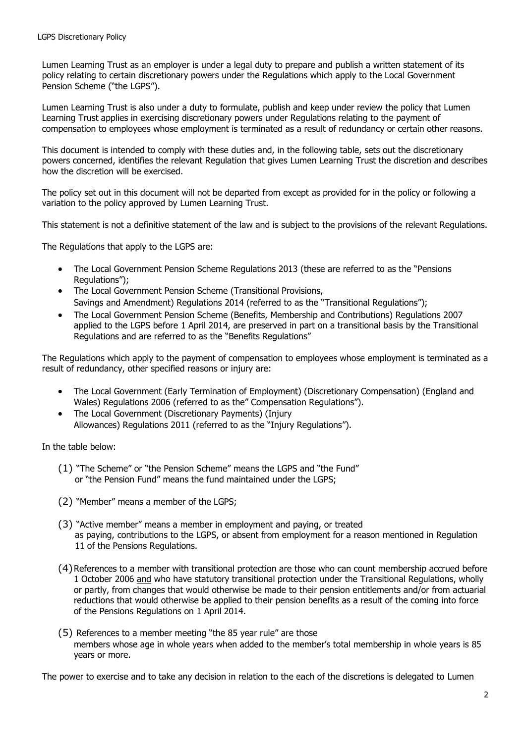Lumen Learning Trust as an employer is under a legal duty to prepare and publish a written statement of its policy relating to certain discretionary powers under the Regulations which apply to the Local Government Pension Scheme ("the LGPS").

Lumen Learning Trust is also under a duty to formulate, publish and keep under review the policy that Lumen Learning Trust applies in exercising discretionary powers under Regulations relating to the payment of compensation to employees whose employment is terminated as a result of redundancy or certain other reasons.

This document is intended to comply with these duties and, in the following table, sets out the discretionary powers concerned, identifies the relevant Regulation that gives Lumen Learning Trust the discretion and describes how the discretion will be exercised.

The policy set out in this document will not be departed from except as provided for in the policy or following a variation to the policy approved by Lumen Learning Trust.

This statement is not a definitive statement of the law and is subject to the provisions of the relevant Regulations.

The Regulations that apply to the LGPS are:

- The Local Government Pension Scheme Regulations 2013 (these are referred to as the "Pensions Regulations");
- The Local Government Pension Scheme (Transitional Provisions, Savings and Amendment) Regulations 2014 (referred to as the "Transitional Regulations");
- The Local Government Pension Scheme (Benefits, Membership and Contributions) Regulations 2007 applied to the LGPS before 1 April 2014, are preserved in part on a transitional basis by the Transitional Regulations and are referred to as the "Benefits Regulations"

The Regulations which apply to the payment of compensation to employees whose employment is terminated as a result of redundancy, other specified reasons or injury are:

- The Local Government (Early Termination of Employment) (Discretionary Compensation) (England and Wales) Regulations 2006 (referred to as the" Compensation Regulations").
- The Local Government (Discretionary Payments) (Injury Allowances) Regulations 2011 (referred to as the "Injury Regulations").

In the table below:

- (1) "The Scheme" or "the Pension Scheme" means the LGPS and "the Fund" or "the Pension Fund" means the fund maintained under the LGPS;
- (2) "Member" means a member of the LGPS;
- (3) "Active member" means a member in employment and paying, or treated as paying, contributions to the LGPS, or absent from employment for a reason mentioned in Regulation 11 of the Pensions Regulations.
- (4)References to a member with transitional protection are those who can count membership accrued before 1 October 2006 and who have statutory transitional protection under the Transitional Regulations, wholly or partly, from changes that would otherwise be made to their pension entitlements and/or from actuarial reductions that would otherwise be applied to their pension benefits as a result of the coming into force of the Pensions Regulations on 1 April 2014.
- (5) References to a member meeting "the 85 year rule" are those members whose age in whole years when added to the member's total membership in whole years is 85 years or more.

The power to exercise and to take any decision in relation to the each of the discretions is delegated to Lumen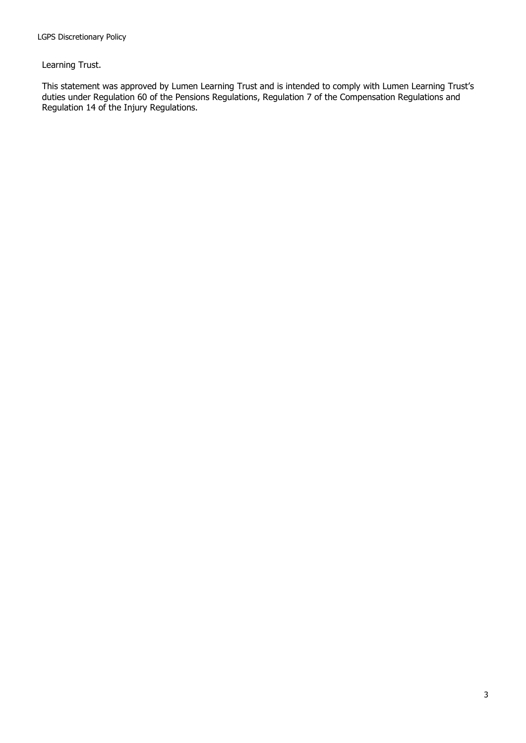Learning Trust.

This statement was approved by Lumen Learning Trust and is intended to comply with Lumen Learning Trust's duties under Regulation 60 of the Pensions Regulations, Regulation 7 of the Compensation Regulations and Regulation 14 of the Injury Regulations.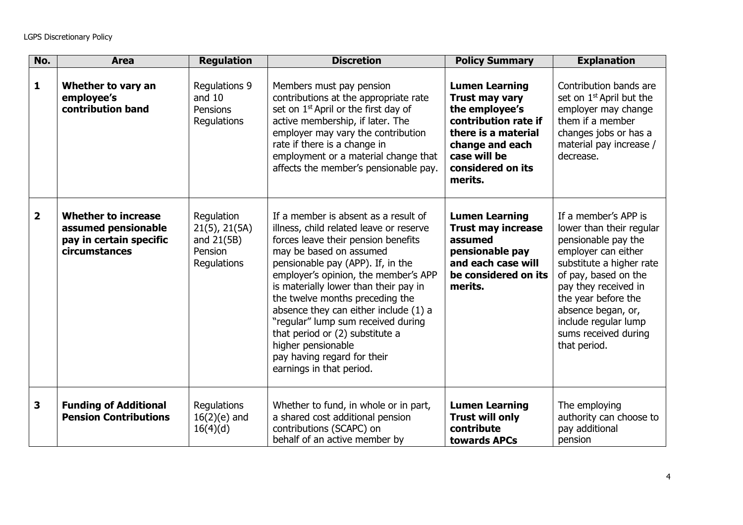| No.            | <b>Area</b>                                                                                   | <b>Regulation</b>                                                          | <b>Discretion</b>                                                                                                                                                                                                                                                                                                                                                                                                                                                                                             | <b>Policy Summary</b>                                                                                                                                                              | <b>Explanation</b>                                                                                                                                                                                                                                                                      |
|----------------|-----------------------------------------------------------------------------------------------|----------------------------------------------------------------------------|---------------------------------------------------------------------------------------------------------------------------------------------------------------------------------------------------------------------------------------------------------------------------------------------------------------------------------------------------------------------------------------------------------------------------------------------------------------------------------------------------------------|------------------------------------------------------------------------------------------------------------------------------------------------------------------------------------|-----------------------------------------------------------------------------------------------------------------------------------------------------------------------------------------------------------------------------------------------------------------------------------------|
| $\mathbf{1}$   | Whether to vary an<br>employee's<br>contribution band                                         | <b>Regulations 9</b><br>and $10$<br>Pensions<br>Regulations                | Members must pay pension<br>contributions at the appropriate rate<br>set on 1 <sup>st</sup> April or the first day of<br>active membership, if later. The<br>employer may vary the contribution<br>rate if there is a change in<br>employment or a material change that<br>affects the member's pensionable pay.                                                                                                                                                                                              | <b>Lumen Learning</b><br><b>Trust may vary</b><br>the employee's<br>contribution rate if<br>there is a material<br>change and each<br>case will be<br>considered on its<br>merits. | Contribution bands are<br>set on 1 <sup>st</sup> April but the<br>employer may change<br>them if a member<br>changes jobs or has a<br>material pay increase /<br>decrease.                                                                                                              |
| $\overline{2}$ | <b>Whether to increase</b><br>assumed pensionable<br>pay in certain specific<br>circumstances | Regulation<br>$21(5)$ , $21(5A)$<br>and $21(5B)$<br>Pension<br>Regulations | If a member is absent as a result of<br>illness, child related leave or reserve<br>forces leave their pension benefits<br>may be based on assumed<br>pensionable pay (APP). If, in the<br>employer's opinion, the member's APP<br>is materially lower than their pay in<br>the twelve months preceding the<br>absence they can either include (1) a<br>"regular" lump sum received during<br>that period or (2) substitute a<br>higher pensionable<br>pay having regard for their<br>earnings in that period. | <b>Lumen Learning</b><br><b>Trust may increase</b><br>assumed<br>pensionable pay<br>and each case will<br>be considered on its<br>merits.                                          | If a member's APP is<br>lower than their regular<br>pensionable pay the<br>employer can either<br>substitute a higher rate<br>of pay, based on the<br>pay they received in<br>the year before the<br>absence began, or,<br>include regular lump<br>sums received during<br>that period. |
| 3              | <b>Funding of Additional</b><br><b>Pension Contributions</b>                                  | Regulations<br>$16(2)(e)$ and<br>16(4)(d)                                  | Whether to fund, in whole or in part,<br>a shared cost additional pension<br>contributions (SCAPC) on<br>behalf of an active member by                                                                                                                                                                                                                                                                                                                                                                        | <b>Lumen Learning</b><br><b>Trust will only</b><br>contribute<br>towards APCs                                                                                                      | The employing<br>authority can choose to<br>pay additional<br>pension                                                                                                                                                                                                                   |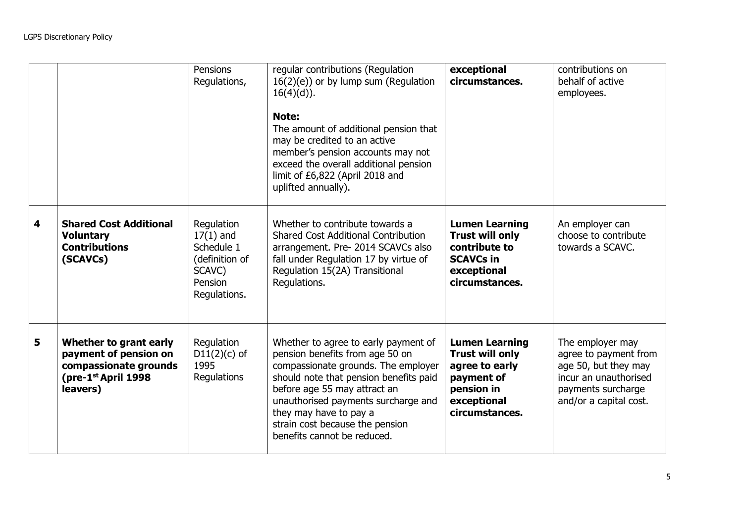|   |                                                                                                             | Pensions<br>Regulations,                                                                       | regular contributions (Regulation<br>$16(2)(e)$ or by lump sum (Regulation<br>$16(4)(d)$ ).<br>Note:<br>The amount of additional pension that<br>may be credited to an active<br>member's pension accounts may not<br>exceed the overall additional pension<br>limit of £6,822 (April 2018 and<br>uplifted annually).       | exceptional<br>circumstances.                                                                                                  | contributions on<br>behalf of active<br>employees.                                                                                         |
|---|-------------------------------------------------------------------------------------------------------------|------------------------------------------------------------------------------------------------|-----------------------------------------------------------------------------------------------------------------------------------------------------------------------------------------------------------------------------------------------------------------------------------------------------------------------------|--------------------------------------------------------------------------------------------------------------------------------|--------------------------------------------------------------------------------------------------------------------------------------------|
| 4 | <b>Shared Cost Additional</b><br><b>Voluntary</b><br><b>Contributions</b><br>(SCAVCs)                       | Regulation<br>$17(1)$ and<br>Schedule 1<br>(definition of<br>SCAVC)<br>Pension<br>Regulations. | Whether to contribute towards a<br><b>Shared Cost Additional Contribution</b><br>arrangement. Pre- 2014 SCAVCs also<br>fall under Regulation 17 by virtue of<br>Regulation 15(2A) Transitional<br>Regulations.                                                                                                              | <b>Lumen Learning</b><br><b>Trust will only</b><br>contribute to<br><b>SCAVCs in</b><br>exceptional<br>circumstances.          | An employer can<br>choose to contribute<br>towards a SCAVC.                                                                                |
| 5 | Whether to grant early<br>payment of pension on<br>compassionate grounds<br>(pre-1st April 1998<br>leavers) | Regulation<br>$D11(2)(c)$ of<br>1995<br>Regulations                                            | Whether to agree to early payment of<br>pension benefits from age 50 on<br>compassionate grounds. The employer<br>should note that pension benefits paid<br>before age 55 may attract an<br>unauthorised payments surcharge and<br>they may have to pay a<br>strain cost because the pension<br>benefits cannot be reduced. | <b>Lumen Learning</b><br><b>Trust will only</b><br>agree to early<br>payment of<br>pension in<br>exceptional<br>circumstances. | The employer may<br>agree to payment from<br>age 50, but they may<br>incur an unauthorised<br>payments surcharge<br>and/or a capital cost. |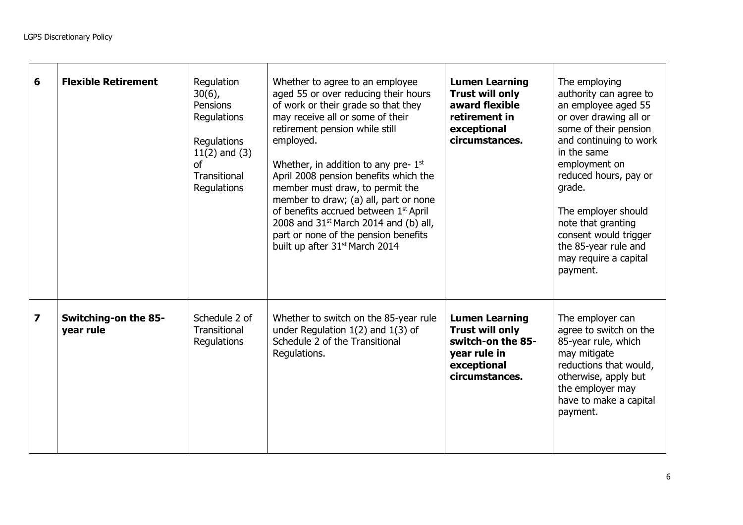| 6                       | <b>Flexible Retirement</b>               | Regulation<br>$30(6)$ ,<br>Pensions<br>Regulations<br>Regulations<br>$11(2)$ and $(3)$<br>Ωf<br><b>Transitional</b><br>Regulations | Whether to agree to an employee<br>aged 55 or over reducing their hours<br>of work or their grade so that they<br>may receive all or some of their<br>retirement pension while still<br>employed.<br>Whether, in addition to any pre- $1st$<br>April 2008 pension benefits which the<br>member must draw, to permit the<br>member to draw; (a) all, part or none<br>of benefits accrued between 1 <sup>st</sup> April<br>2008 and $31st$ March 2014 and (b) all,<br>part or none of the pension benefits<br>built up after 31 <sup>st</sup> March 2014 | <b>Lumen Learning</b><br><b>Trust will only</b><br>award flexible<br>retirement in<br>exceptional<br>circumstances.   | The employing<br>authority can agree to<br>an employee aged 55<br>or over drawing all or<br>some of their pension<br>and continuing to work<br>in the same<br>employment on<br>reduced hours, pay or<br>grade.<br>The employer should<br>note that granting<br>consent would trigger<br>the 85-year rule and<br>may require a capital<br>payment. |
|-------------------------|------------------------------------------|------------------------------------------------------------------------------------------------------------------------------------|--------------------------------------------------------------------------------------------------------------------------------------------------------------------------------------------------------------------------------------------------------------------------------------------------------------------------------------------------------------------------------------------------------------------------------------------------------------------------------------------------------------------------------------------------------|-----------------------------------------------------------------------------------------------------------------------|---------------------------------------------------------------------------------------------------------------------------------------------------------------------------------------------------------------------------------------------------------------------------------------------------------------------------------------------------|
| $\overline{\mathbf{z}}$ | <b>Switching-on the 85-</b><br>year rule | Schedule 2 of<br>Transitional<br>Regulations                                                                                       | Whether to switch on the 85-year rule<br>under Regulation $1(2)$ and $1(3)$ of<br>Schedule 2 of the Transitional<br>Regulations.                                                                                                                                                                                                                                                                                                                                                                                                                       | <b>Lumen Learning</b><br><b>Trust will only</b><br>switch-on the 85-<br>year rule in<br>exceptional<br>circumstances. | The employer can<br>agree to switch on the<br>85-year rule, which<br>may mitigate<br>reductions that would,<br>otherwise, apply but<br>the employer may<br>have to make a capital<br>payment.                                                                                                                                                     |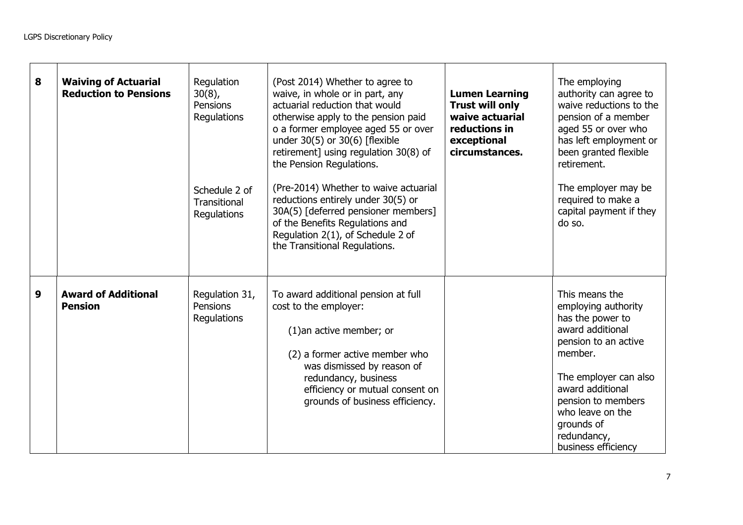| 8 | <b>Waiving of Actuarial</b><br><b>Reduction to Pensions</b> | Regulation<br>$30(8)$ ,<br><b>Pensions</b><br>Regulations<br>Schedule 2 of<br>Transitional<br>Regulations | (Post 2014) Whether to agree to<br>waive, in whole or in part, any<br>actuarial reduction that would<br>otherwise apply to the pension paid<br>o a former employee aged 55 or over<br>under 30(5) or 30(6) [flexible<br>retirement] using regulation 30(8) of<br>the Pension Regulations.<br>(Pre-2014) Whether to waive actuarial<br>reductions entirely under 30(5) or<br>30A(5) [deferred pensioner members]<br>of the Benefits Regulations and<br>Regulation 2(1), of Schedule 2 of<br>the Transitional Regulations. | <b>Lumen Learning</b><br><b>Trust will only</b><br>waive actuarial<br>reductions in<br>exceptional<br>circumstances. | The employing<br>authority can agree to<br>waive reductions to the<br>pension of a member<br>aged 55 or over who<br>has left employment or<br>been granted flexible<br>retirement.<br>The employer may be<br>required to make a<br>capital payment if they<br>do so. |
|---|-------------------------------------------------------------|-----------------------------------------------------------------------------------------------------------|--------------------------------------------------------------------------------------------------------------------------------------------------------------------------------------------------------------------------------------------------------------------------------------------------------------------------------------------------------------------------------------------------------------------------------------------------------------------------------------------------------------------------|----------------------------------------------------------------------------------------------------------------------|----------------------------------------------------------------------------------------------------------------------------------------------------------------------------------------------------------------------------------------------------------------------|
| 9 | <b>Award of Additional</b><br><b>Pension</b>                | Regulation 31,<br>Pensions<br>Regulations                                                                 | To award additional pension at full<br>cost to the employer:<br>$(1)$ an active member; or<br>(2) a former active member who<br>was dismissed by reason of<br>redundancy, business<br>efficiency or mutual consent on<br>grounds of business efficiency.                                                                                                                                                                                                                                                                 |                                                                                                                      | This means the<br>employing authority<br>has the power to<br>award additional<br>pension to an active<br>member.<br>The employer can also<br>award additional<br>pension to members<br>who leave on the<br>grounds of<br>redundancy,<br>business efficiency          |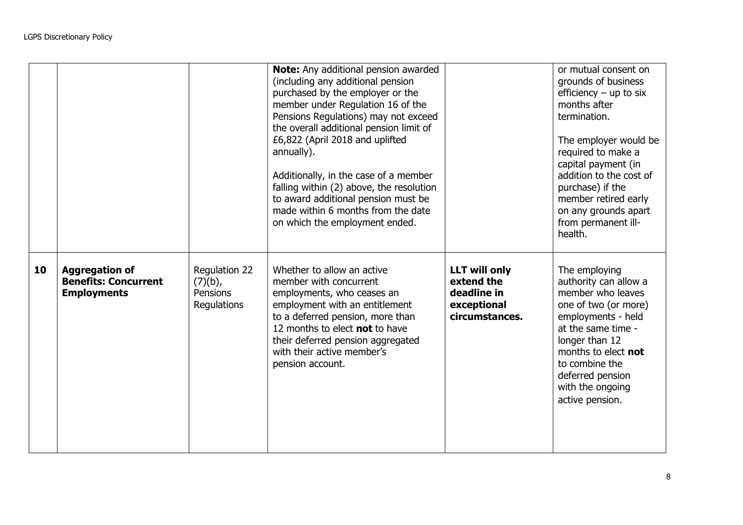|    |                                                                            |                                                        | Note: Any additional pension awarded<br>(including any additional pension<br>purchased by the employer or the<br>member under Regulation 16 of the<br>Pensions Regulations) may not exceed<br>the overall additional pension limit of<br>£6,822 (April 2018 and uplifted<br>annually).<br>Additionally, in the case of a member<br>falling within (2) above, the resolution<br>to award additional pension must be<br>made within 6 months from the date<br>on which the employment ended. |                                                                                    | or mutual consent on<br>grounds of business<br>efficiency $-$ up to six<br>months after<br>termination.<br>The employer would be<br>required to make a<br>capital payment (in<br>addition to the cost of<br>purchase) if the<br>member retired early<br>on any grounds apart<br>from permanent ill-<br>health. |
|----|----------------------------------------------------------------------------|--------------------------------------------------------|--------------------------------------------------------------------------------------------------------------------------------------------------------------------------------------------------------------------------------------------------------------------------------------------------------------------------------------------------------------------------------------------------------------------------------------------------------------------------------------------|------------------------------------------------------------------------------------|----------------------------------------------------------------------------------------------------------------------------------------------------------------------------------------------------------------------------------------------------------------------------------------------------------------|
| 10 | <b>Aggregation of</b><br><b>Benefits: Concurrent</b><br><b>Employments</b> | Regulation 22<br>$(7)(b)$ ,<br>Pensions<br>Regulations | Whether to allow an active<br>member with concurrent<br>employments, who ceases an<br>employment with an entitlement<br>to a deferred pension, more than<br>12 months to elect not to have<br>their deferred pension aggregated<br>with their active member's<br>pension account.                                                                                                                                                                                                          | <b>LLT will only</b><br>extend the<br>deadline in<br>exceptional<br>circumstances. | The employing<br>authority can allow a<br>member who leaves<br>one of two (or more)<br>employments - held<br>at the same time -<br>longer than 12<br>months to elect <b>not</b><br>to combine the<br>deferred pension<br>with the ongoing<br>active pension.                                                   |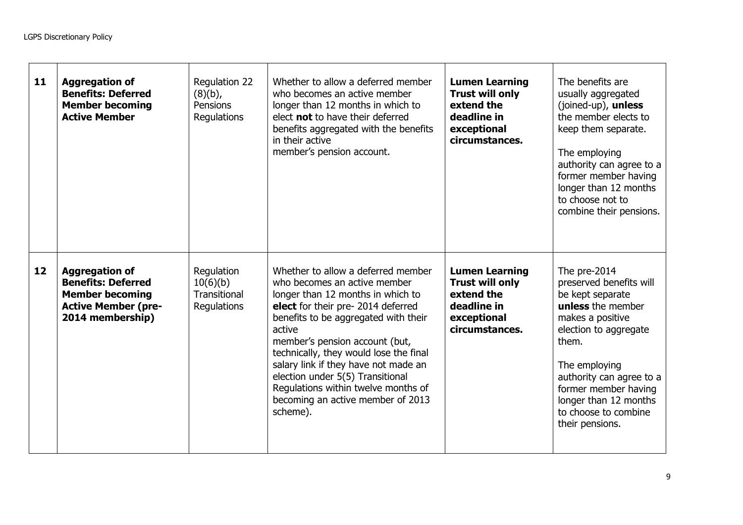| 11 | <b>Aggregation of</b><br><b>Benefits: Deferred</b><br><b>Member becoming</b><br><b>Active Member</b>                           | Regulation 22<br>$(8)(b)$ ,<br>Pensions<br>Regulations | Whether to allow a deferred member<br>who becomes an active member<br>longer than 12 months in which to<br>elect not to have their deferred<br>benefits aggregated with the benefits<br>in their active<br>member's pension account.                                                                                                                                                                                                           | <b>Lumen Learning</b><br><b>Trust will only</b><br>extend the<br>deadline in<br>exceptional<br>circumstances. | The benefits are<br>usually aggregated<br>(joined-up), unless<br>the member elects to<br>keep them separate.<br>The employing<br>authority can agree to a<br>former member having<br>longer than 12 months<br>to choose not to<br>combine their pensions.                       |
|----|--------------------------------------------------------------------------------------------------------------------------------|--------------------------------------------------------|------------------------------------------------------------------------------------------------------------------------------------------------------------------------------------------------------------------------------------------------------------------------------------------------------------------------------------------------------------------------------------------------------------------------------------------------|---------------------------------------------------------------------------------------------------------------|---------------------------------------------------------------------------------------------------------------------------------------------------------------------------------------------------------------------------------------------------------------------------------|
| 12 | <b>Aggregation of</b><br><b>Benefits: Deferred</b><br><b>Member becoming</b><br><b>Active Member (pre-</b><br>2014 membership) | Regulation<br>10(6)(b)<br>Transitional<br>Regulations  | Whether to allow a deferred member<br>who becomes an active member<br>longer than 12 months in which to<br>elect for their pre-2014 deferred<br>benefits to be aggregated with their<br>active<br>member's pension account (but,<br>technically, they would lose the final<br>salary link if they have not made an<br>election under 5(5) Transitional<br>Regulations within twelve months of<br>becoming an active member of 2013<br>scheme). | <b>Lumen Learning</b><br><b>Trust will only</b><br>extend the<br>deadline in<br>exceptional<br>circumstances. | The pre-2014<br>preserved benefits will<br>be kept separate<br>unless the member<br>makes a positive<br>election to aggregate<br>them.<br>The employing<br>authority can agree to a<br>former member having<br>longer than 12 months<br>to choose to combine<br>their pensions. |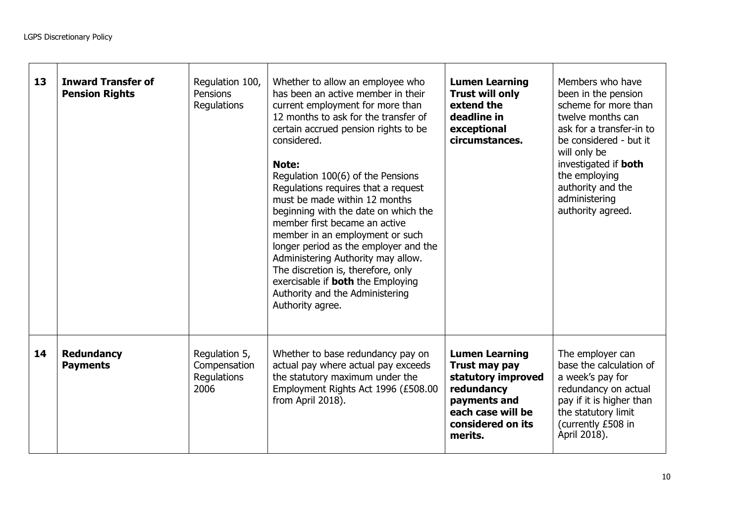| 13 | <b>Inward Transfer of</b><br><b>Pension Rights</b> | Regulation 100,<br><b>Pensions</b><br>Regulations    | Whether to allow an employee who<br>has been an active member in their<br>current employment for more than<br>12 months to ask for the transfer of<br>certain accrued pension rights to be<br>considered.<br>Note:<br>Regulation 100(6) of the Pensions<br>Regulations requires that a request<br>must be made within 12 months<br>beginning with the date on which the<br>member first became an active<br>member in an employment or such<br>longer period as the employer and the<br>Administering Authority may allow.<br>The discretion is, therefore, only<br>exercisable if <b>both</b> the Employing<br>Authority and the Administering<br>Authority agree. | <b>Lumen Learning</b><br><b>Trust will only</b><br>extend the<br>deadline in<br>exceptional<br>circumstances.                                   | Members who have<br>been in the pension<br>scheme for more than<br>twelve months can<br>ask for a transfer-in to<br>be considered - but it<br>will only be<br>investigated if <b>both</b><br>the employing<br>authority and the<br>administering<br>authority agreed. |
|----|----------------------------------------------------|------------------------------------------------------|---------------------------------------------------------------------------------------------------------------------------------------------------------------------------------------------------------------------------------------------------------------------------------------------------------------------------------------------------------------------------------------------------------------------------------------------------------------------------------------------------------------------------------------------------------------------------------------------------------------------------------------------------------------------|-------------------------------------------------------------------------------------------------------------------------------------------------|-----------------------------------------------------------------------------------------------------------------------------------------------------------------------------------------------------------------------------------------------------------------------|
| 14 | <b>Redundancy</b><br><b>Payments</b>               | Regulation 5,<br>Compensation<br>Regulations<br>2006 | Whether to base redundancy pay on<br>actual pay where actual pay exceeds<br>the statutory maximum under the<br>Employment Rights Act 1996 (£508.00<br>from April 2018).                                                                                                                                                                                                                                                                                                                                                                                                                                                                                             | <b>Lumen Learning</b><br>Trust may pay<br>statutory improved<br>redundancy<br>payments and<br>each case will be<br>considered on its<br>merits. | The employer can<br>base the calculation of<br>a week's pay for<br>redundancy on actual<br>pay if it is higher than<br>the statutory limit<br>(currently £508 in<br>April 2018).                                                                                      |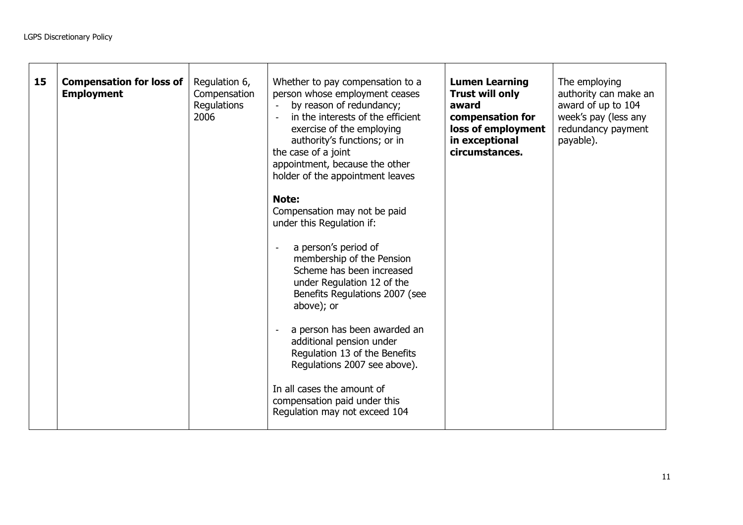| 15 | <b>Compensation for loss of</b><br><b>Employment</b> | Regulation 6,<br>Compensation<br>Regulations<br>2006 | Whether to pay compensation to a<br>person whose employment ceases<br>by reason of redundancy;<br>$\sim$<br>in the interests of the efficient<br>exercise of the employing<br>authority's functions; or in<br>the case of a joint<br>appointment, because the other<br>holder of the appointment leaves<br>Note:<br>Compensation may not be paid<br>under this Regulation if:<br>a person's period of<br>membership of the Pension<br>Scheme has been increased<br>under Regulation 12 of the<br>Benefits Regulations 2007 (see<br>above); or<br>a person has been awarded an<br>additional pension under<br>Regulation 13 of the Benefits<br>Regulations 2007 see above). | <b>Lumen Learning</b><br><b>Trust will only</b><br>award<br>compensation for<br>loss of employment<br>in exceptional<br>circumstances. | The employing<br>authority can make an<br>award of up to 104<br>week's pay (less any<br>redundancy payment<br>payable). |
|----|------------------------------------------------------|------------------------------------------------------|----------------------------------------------------------------------------------------------------------------------------------------------------------------------------------------------------------------------------------------------------------------------------------------------------------------------------------------------------------------------------------------------------------------------------------------------------------------------------------------------------------------------------------------------------------------------------------------------------------------------------------------------------------------------------|----------------------------------------------------------------------------------------------------------------------------------------|-------------------------------------------------------------------------------------------------------------------------|
|    |                                                      |                                                      | In all cases the amount of<br>compensation paid under this<br>Regulation may not exceed 104                                                                                                                                                                                                                                                                                                                                                                                                                                                                                                                                                                                |                                                                                                                                        |                                                                                                                         |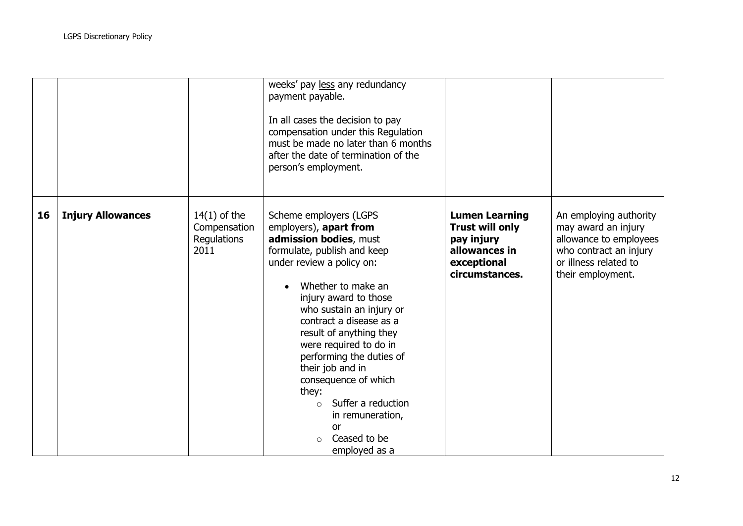|    |                          |                                                       | weeks' pay less any redundancy<br>payment payable.<br>In all cases the decision to pay<br>compensation under this Regulation<br>must be made no later than 6 months<br>after the date of termination of the<br>person's employment.                                                                                                                                                                                                                                                    |                                                                                                                 |                                                                                                                                                 |
|----|--------------------------|-------------------------------------------------------|----------------------------------------------------------------------------------------------------------------------------------------------------------------------------------------------------------------------------------------------------------------------------------------------------------------------------------------------------------------------------------------------------------------------------------------------------------------------------------------|-----------------------------------------------------------------------------------------------------------------|-------------------------------------------------------------------------------------------------------------------------------------------------|
| 16 | <b>Injury Allowances</b> | $14(1)$ of the<br>Compensation<br>Regulations<br>2011 | Scheme employers (LGPS<br>employers), apart from<br>admission bodies, must<br>formulate, publish and keep<br>under review a policy on:<br>Whether to make an<br>injury award to those<br>who sustain an injury or<br>contract a disease as a<br>result of anything they<br>were required to do in<br>performing the duties of<br>their job and in<br>consequence of which<br>they:<br>Suffer a reduction<br>$\Omega$<br>in remuneration,<br><b>or</b><br>Ceased to be<br>employed as a | <b>Lumen Learning</b><br><b>Trust will only</b><br>pay injury<br>allowances in<br>exceptional<br>circumstances. | An employing authority<br>may award an injury<br>allowance to employees<br>who contract an injury<br>or illness related to<br>their employment. |